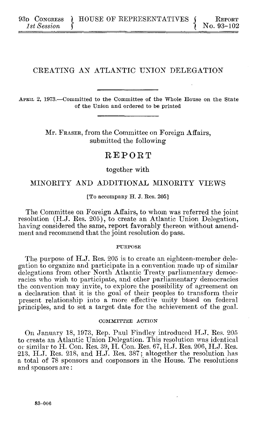## **CREATING AN ATLANTIC UNION DELEGATION**

**APRIL 2, 1973.-Committed to the** Committee of the Whole House on the State **of the Union and ordered to be printed**

> Mr. **FRASER,** from the Committee on Foreign Affairs, submitted the following

# REPORT

together with

## MINORITY **AND** ADDITIONAL MINORITY VIEWS

### **[To accompany H. J. Res. 205]**

The Committee on Foreign Affairs, to whom was referred the joint resolution **(H.J.** Res. **205),** to create an Atlantic Union Delegation, having considered the same, report favorably thereon without amendment and recommend that the joint resolution do pass.

#### **PURPOSE**

The purpose of **H.J.** Res. **205** is to create an eighteen-member delegation to organize and participate in a convention made up of similar delegations from other North Atlantic Treaty parliamentary democracies who wish to participate, and other parliamentary democracies the convention may invite, to explore the possibility of agreement on a declaration that it is the goal of their peoples to transform their present relationship into a more effective unity based on federal principles, and to set a target date for the achievement of the goal.

#### **COMMITTEE ACTION**

On **January 18, 1973,** Rep. Paul Findley introduced H.J. Res. **205 to create** an Atlantic Union Delegation. This resolution was identical **or** similar **to** H. Con. Res. **39,** H. Con. Res. **67,** H.J. Res. **206, H.J.** Res. **213, H.J.** Res. **218,** and **H.J.** Res. **387;** altogether the resolution has a total of **78** sponsors and cosponsors in the House. The resolutions and sponsors are: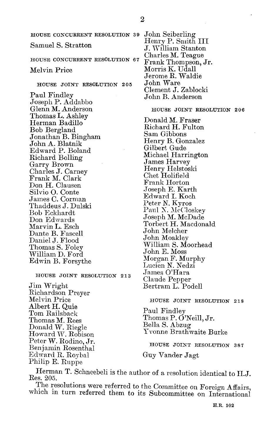**HOUSE CONCURRENT RESOLUTION 39** Samuel **S.** Stratton **HOUSE CONCURRENT RESOLUTION 67** Melvin Price **HOUSE JOINT RESOLUTION 205** Paul Findley Joseph P. Addabbo Glenn M. Anderson Thomas L. Ashley Herman Badillo Bob Bergland Jonathan B. Bingham John **A.** Blatnik Edward P. Boland Richard Bolling Garry Brown Charles **J.** Carney Frank M. Clark Don H. Clausen Silvio **0.** Conte James **C.** Corman Thaddeus **J.** Dulski Bob Eckhardt Don Edwards Marvin L. Esch Dante B. Fascell Daniel **J.** Flood Thomas **S.** Foley William **D.** Ford Edwin B. Forsythe

#### **HOUSE JOINT RESOLUTION 213**

Jim Wright Richardson Preyer Melvin Price Albert H. Quie Tom Railsback Thomas M. Rees Donald W. Riegle Howard **W.** Robison Peter W. Rodino, Jr. Benjamin Rosenthal Edward R. Roybal Philip **E.** Ruppe

John Seiberling Henry P. Smith III **J.** William Stanton Charles M. Teague Frank Thompson, Jr. Morris K. Udall Jerome R. Waldie John Ware Clement **J.** Zablocki John B. Anderson

**HOUSE JOINT RESOLUTION 206**

Donald M. Fraser Richard H. Fulton Sam Gibbons Henry B. Gonzalez Gilbert Gude Michael Harrington James Harvey Henry Helstoski Chet Holifield Frank Horton Joseph **E.** Karth Edward I. Koch Peter **N.** Kyros Paul N. McCloskey Joseph M. McDade Torbert H. Macdonald John Melcher John Moakley William **S.** Moorhead John **E.** Moss Morgan F. Murphy Lucien **N.** Nedzi James O'Hara Claude Pepper Bertram L. Podell

## **HOUSE JOINT RESOLUTION 218**

Paul Findley Thomas P. O'Neill, Jr. Bella **S.** Abzug Yvonne Brathwaite Burke

**HOUSE JOINT RESOLUTION 387**

Guy Vander Jagt

Herman T. Schneebeli is the author of a resolution identical to H.J. Res. **205.**

The resolutions were referred to the Committee on Foreign Affairs, which in turn referred them to its Subcommittee on International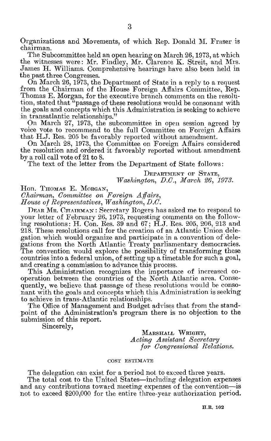Organizations and Movements, of which Rep. Donald **M.** Fraser is chairman.

The Subcommittee held an open hearing on March **26, 1973,** at which the witnesses were: Mr. Findley, Mr. Clarence K. Streit, and Mrs. James H. Williams. Comprehensive hearings have also been held in the past three Congresses.

On March **26,** *1973,* the Department of State in a reply to a request from the Chairman of the House Foreign Affairs Committee, Rep. Thomas **E.** Morgan, for the executive branch comments on the resolution, stated that "passage of these resolutions would be consonant with the goals and concepts which this Administration is seeking to achieve in transatlantic relationships."

On March **27, 1973,** the subcommittee in open session agreed **by** voice vote to recommend to the full Committee on Foreign Affairs that **H.J.** Res. **205** be favorably reported without amendment.

On March 28, **1973,** the Committee on Foreigrn Affairs considered the resolution and ordered it favorably reported without amendment **by** a roll call vote of 21 to 8.

The text of the letter from the Department of State follows:

DEPARTMENT **OF STATE,** *Washington, D.C., March 06, 1973.*

Hon. THOMAS **E. MORGAN,**

*Chairman, Committee on Foreign Affairs,*

*House of Representatives, Washington, D.C.*

DEAR MR. CHAIRMAN: Secretary Rogers has asked me to respond to your letter of February **26, 1973,** requesting comments on the following resolutions: H. Con. Res. **39** and **67; H.J.** Res. **205, 206, 213** and **218.** These resolutions call for the creation of an Atlantic Union delegation which would organize and participate in a convention of delegations from the North Atlantic Treaty parliamentary democracies. The convention would explore the possibility of transforming these countries into a federal union, of setting up a timetable for such a goal, and creating a commission to advance this process.

This Administration recognizes the importance of increased cooperation between the countries of the North Atlantic area. Consequently, we believe that passage of these resolutions would be consonant with the goals and concepts which this Administration is seeking to achieve in trans-Atlantic relationships.

The Office of Management and Budget advises that from the standpoint of the Administration's program there is no objection to the submission of this report.

Sincerely,

**MARSHALL WRIGHT,** *Acting Assistant Secretary for Congressional Relations.*

#### **COST ESTIMATE**

The delegation can exist for a period not to exceed three years.

The total cost to the United States—including delegation expenses and any contributions toward meeting expenses of the convention-is not to exceed \$200,000 for the entire three-year authorization period.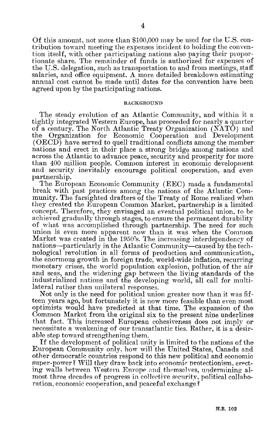**Of** this amount, not more than **\$100,000** may be used **for** the **U.S.** contribution toward meeting the expenses incident to holding the convention itself, with other participating nations also paying their proportionate share. The remainder of funds is authorized for expenses of the **U.S.** delegation, such as transportation to and from meetings, staff salaries, and office equipment. **A** more detailed breakdown estimating annual cost cannot be made until dates for the convention have been agreed upon **by** the participating nations.

#### **BACKGROUND**

The steady evolution of an Atlantic Community, and within it a tightly integrated Western Europe, has proceeded for nearly a quarter of a century. The North Atlantic Treaty Organization **(NATO)** and the Organization for Economic Cooperation and Development **(OECD)** have served to quell traditional conflicts among the member nations and erect in their place a strong bridge among nations and across the Atlantic to advance peace, security and prosperity for more. than 400 million people. Common interest in economic development and security inevitably encourage political cooperation, and even partnership.

The European Economic Community **(EEC)** made a fundamental break with past practices among the nations of the Atlantic Community. The farsighted drafters of the Treaty of Rome realized when they created the European Common Market, partnership is a limited concept. Therefore, they envisaged an eventual political union, to be achieved gradually through stages, to ensure the permanent durability of what was accomplished through partnership. The need for such union is even more apparent now than it was when the Common Market was created in the 1950's. The increasing interdependency of nations-particularly in the Atlantic Community-caused **by** the technological revolution in all forms of production and communication,. the enormous growth in foreign trade, world-wide inflation, recurring monetary crises, the world population explosion, pollution of the air and seas, and the widening gap between the living standards of the industrialized nations and the developing world, all call for multilateral rather than unilateral responses.

Not only is the need for political union greater now than it was **fif**teen years ago, but fortunately it is now more feasible than even most optimists would have predicted at that time. The expansion of the Common Market from the original six to the present nine underlines that fact. This increased European cohesiveness does not imply or necessitate a weakening of our transatlantic ties. Rather, it is a desirable step toward strengthening them.

**If** the development of political unity is limited to the nations of the European Community only, how will the United States, Canada and other democratic countries respond to this new political and economic super-power? Will they draw back into economic protectionism, erecting walls between Western Europe and themselves, undernining almost three decades of progress in collective security, political collaboration, economic cooperation, and peaceful exchange?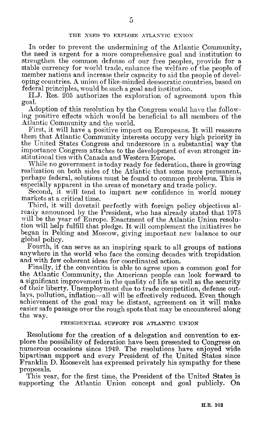In order to prevent the undermining of the Atlantic Community, the need is urgent for a more comprehensive goal and institution to strengthen the common defense of our free peoples, provide for a stable currency for world trade, enhance the welfare of the people of member nations and increase their capacity to aid the people of developing countries. **A** union of like-minded democratic countries, based on federal principles, would be such a goal and institution.

**H.J.** Res. 205 authorizes the exploration of agreement upon this goal.

Adoption of this resolution **by** the Congress would have the following positive effects which would be beneficial to all members of the Atlantic Community and the world.

First, it will have a positive impact on Europeans. It will reassure them that Atlantic Community interests occupy very high priority in the United States Congress and underscore in a substantial way the importance Congress attaches to the development of even stronger institutional ties with Canada and Western Europe.

While no government is today ready for federation, there is growing realization on both sides of the Atlantic that some more permanent, perhaps federal, solutions must be found to common problems. This is especially apparent in the areas of monetary and trade policy.

Second, it will tend to impart new confidence in world money markets at a critical time.

Third, it will dovetail perfectly with foreign policy objectives already announced **by** the President, who has already stated that **1973** will be the year of Europe. Enactment of the Atlantic Union resolution will **help** fulfill that pledge. It will complement the initiatives he began in Peking and Moscow, giving important new balance to our global policy.

Fourth, it can serve as an inspiring spark to all groups of nations anywhere in the world who face the coming decades with trepidation and with few coherent ideas for coordinated action.

Finally, if the convention is able to agree upon a common goal for the Atlantic Community, the American people can look forward to a significant improvement in the quality of life as well as the security of their liberty. Unemployment due to trade competition, defense outlays, pollution, inflation-all will be effectively reduced. Even though achievement of the goal may be distant, agreement on it will make easier safe passage over the rough spots that may be encountered along the way.

## **PRESIDENTIAL SUPPORT FOR ATLANTIC UNION**

Resolutions for the creation of a delegation and convention to explore the possibility of federation have been presented to Congress on numerous occasions since 1949. The resolutions have enjoyed wide bipartisan support and every President of the United States since Franklin **D.** Roosevelt has expressed privately his sympathy for these proposals.

This year, for the first time, the President of the United States is supporting the Atlantic Union concept and goal publicly. On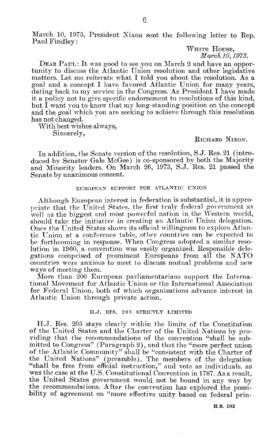March **10, 1973,** President Nixon sent the following letter to Rep. Paul Findley:

**WmTrE HOUSE,** *March10, 1973.*

**DEAR PAUL:** It was good to see you on March 2 and have an opportunity to discuss the Atlantic Union resolution and other legislative matters. Let me reiterate what I told you about the resolution. As a goal and a concept I have favored Atlantic Union for many years, dating back to my service in the Congress. As President I have made **it** a policy not to give specific endorsement to resolutions of this kind, but **I** want you to know that my long-standing position on the concept and the goal which you are seeking to achieve through this resolution has not changed.

With best wishes always, Sincerely,

## **RICHARD NIXON.**

In addition, the Senate version of the resolution, **S.J.** Res. 21 (introduced **by** Senator Gale McGee) is co-sponsored **by** both the Majority and Minority leaders. On March **26, 1973, S.J.** Res. 21 passed the Senate **by** unanimous consent.

#### **EUROPEAN SUPPORT FOR ATLANTIC UNION**

Although European interest in federation is substantial, it is appropriate that the United States, the first truly federal government as well as the biggest and most powerful nation in the Western world, should take the initiative in creating an Atlantic Union delegation. Once the United States shows its official willingness to explore Atlantic Union at a conference table, other countries can be expected to be forthcoming in response. When Congress adopted **a** similar resolution in **1960,** a convention was easily organized. Responsible delegations comprised of prominent Europeans from all the **NATO** countries were anxious to meet to discuss mutual problems and new ways of meeting them.

More than 200 European parliamentarians support the International Movement for Atlantic Union or the International Association for Federal Union, both of which organizations advance interest in Atlantic Union through private action.

## **H.J.** RES. **205 STRICTLY LIMITED**

H.J. Res. **205** stays clearly within the limits of the Constitution of the United States and the Charter of the United Nations **by** providing that the recommendations of the convention "shall be submitted to Congress" (Paragraph 2), and that the "more perfect union of the Atlantic Community" shall be "consistent with the Charter of the United Nations" (preamble). The members of the delegation "shall be free from official instruction," and vote as individuals, as was the case at the **U.S.** Constitutional Convention in **1787.** As a result, the United States government would not be bound in any way **by** the recommendations. After the convention has explored the possibility of agreement on "more effective unity based on federal prin-

**H.R. 102**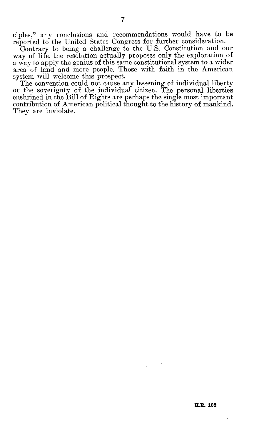ciples," any conclusions and recommendations would have to be reported to the United States Congress for further consideration.

Contrary to being a challenge to the **U.S.** Constitution and our way of life, the resolution actually proposes only the exploration of a way to apply the genius of this same constitutional system to a wider area of land and more people. Those with faith in the American system will welcome this prospect.

The convention could not cause any lessening of individual liberty or the soverignty of the individual citizen. The personal liberties enshrined in the Bill of Rights are perhaps the single most important contribution of American political thought to the history of mankind. They are inviolate.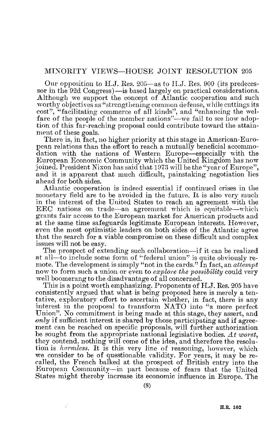## MINORITY **VIEWS-HOUSE** JOINT RESOLUTION **205**

Our opposition to **H.J.** Res. 205-as to **H.J.** Res. **900** (its predecessor in the 92d Congress) - is based largely on practical considerations. Although we support the concept of Atlantic cooperation and such worthy objectives as "strengthening common defense, while cuttings its cost", "facilitating commerce of all kinds", and "enhancing the welfare of the people of the member nations"—we fail to see how adoption of this far-reaching proposal could contribute toward the attainment of these goals.

There is, in fact, no higher priority at this stage in American-European relations than the effort to reach a mutually beneficial acconinodation with the nations of Western Europe-especially with the European Economic Community which the United Kingdom has now joined. President Nixon has said that **1973** will be the "year of Europe", and it is apparent that much difficult, painstaking negotiation lies ahead **for** both sides.

Atlantic cooperation is indeed essential if continued crises in the monetary field are to be avoided in the future. It is also very much in the interest of the United States to reach an agreement with the **EEC** nations on trade-an agreement which is equitable-which grants fair access to the European market for American products and at the same time safeguards legitimate European interests. However, even the most optimistic leaders on both sides of the Atlantic agree that the search for a viable compromise on these difficult and complex issues will not be easy.

The prospect of extending such collaboration—if it can be realized at all-to include some form of "federal union" is quite obviously remote. The development is simply "not in the cards." In fact, an *attempt* now to form such a union or even to *explore the possibility* could very well boomerang to the disadvantage of all concerned.

This is a point worth emphasizing. Proponents of **H.J.** Res. **205** have consistently argued that what is being proposed here is merely a tentative, exploratory effort to ascertain whether, in fact, there is any interest in the proposal to transform **NATO** into "a more perfect Union". No commitment is being made at this stage, they assert, and *only* if sufficient interest is shared **by** those participating and if agreement can be reached on specific proposals, will further authorization be sought from the appropriate national legislative bodies. *At worst,* they contend, nothing will come of the idea, and therefore the resolution is *harmless.* It is this very line of reasoning, however, which we consider to be of questionable validity. For years, it may be recalled, the French balked at the prospect of British entry into the European Community-in part because of fears that the United States might thereby increase its economic influence in Europe. The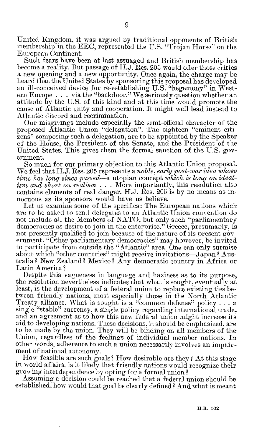United Kingdom, it was argued **by** traditional opponents of British membership in the **EEC,** represented the **U.S.** "Trojan Horse" on the European Continent.

Such fears have been at last assuaged and British membership has become a reality. But passage of H.J. Res. **205** would offer those critics a new opening and a new opportunity. Once again, the charge may be heard that the United States **by** sponsoring this proposal has aeveloped an ill-conceived device for re-establishing **U.S.** "hegemony" in Western Europe **. . .** via the "backdoor." We seriously question whether an attitude **by** the **U.S.** of this kind and at this time would promote the cause of Atlantic unity and cooperation. It might well lead instead to Atlantic discord and recrimination.

Our misgivings include especially the semi-official character of the proposed Atlantic Union "delegation". The eighteen "eminent citizens" composing such a delegation, are to be appointed **by** the Speaker of the House, the President of the Senate, and the President of the United States. This gives them the formal sanction of the **U.S.** government.

So much for our primary objection to this Atlantic Union proposal. We feel that **H.J.** Res. 205 represents a *noble, early post-war idea whose time has long since passed-a* utopian concept *which is long on idealism and short on realism* **. . .** More importantly, this resolution also contains elements of real danger. **H.J.** Res. **205** is **by** no means as innocuous as its sponsors would have us believe.

Let us examine some of the specifics: The European nations which are to be asked to send delegates to an Atlantic Union convention do not include all the Members of **NATO,** but only such "parliamentary democracies as desire to join in the enterprise." Greece, presumably, is not presently qualified to join because of the nature of its present government. "Other parliamentary democracies" may however, be invited to participate from outside the "Atlantic" area. One can only surmise about which "other countries" might receive invitations-Japan? Australia? New Zealand? Mexico? Any democratic country in Africa or Latin America?

Despite this vagueness in language and haziness as to its purpose, the resolution nevertheless indicates that what is sought, eventually at least, is the development of a federal union to replace existing ties between friendly nations, most especially those in the North Atlantic Treaty alliance. What is sought is a "common defense" policy **.** . **.** a single "stable" currency a single policy regarding international trade, and an agreement as to how this new federal union might increase its aid to developing nations. These decisions, it should be emphasized, are to **be** made **by** the union. They will be binding on all members of the Union, regardless of the feelings of individual member nations. In other words, adherence to such a union necessarily involves an impairment of national autonomy.

How feasible are such goals? How desirable are they? At this stage in world affairs, is it likely that friendly nations would recognize their growing interdependence **by** opting for a formal union?

Assuming a decision could be reached that a federal union should be established, how would that goal be clearly defined? And what is meant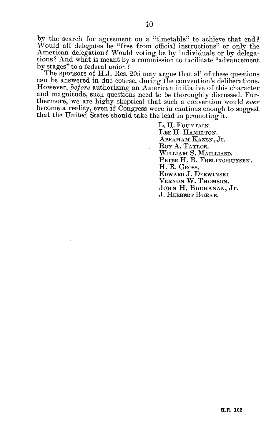**by** the search for agreement on a "timetable" to achieve that end? Would all delegates be "free from official instructions" or only the American delegation? Would voting be **by** individuals or **by** delegations? And what is meant **by** a commission to facilitate "advancement **by** stages" to a federal union?

The sponsors of **H.J.** Res. **205** may argue that all of these questions can be answered in due course, during the convention's deliberations. However, *before* authorizing an American initiative of this character and magnitude, such questions need to be thoroughly discussed. Furthermore, we are **highy** skeptical that such a convention would *ever* become a reality, even if Congress were in cautious enough to suggest that the United States should take the lead in promoting it.

> L. H. FOUNTAIN. **LEE** H. **HAMILTON. ABRAHAM KAZEN, Jr.** Roy **A. TAYLOR. WILLIAM S. MAILLIARD. PETER** H. B. **FRELINGHUYSEN.** H. R. **GROSS. EDWARD J. DERWINSKI VERNON** W. **THOMSON. JOHN** H. **BUCHANAN, Jr. J. HERBERT BURKE.**